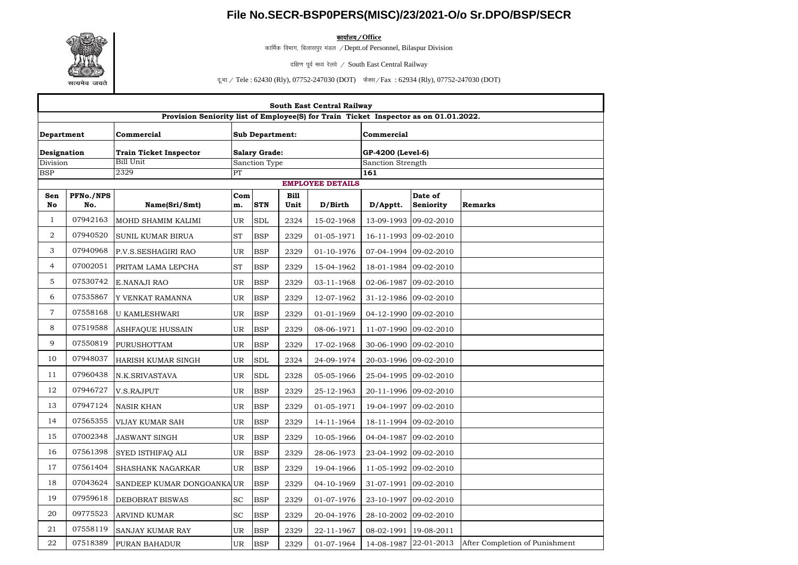## **File No.SECR-BSP0PERS(MISC)/23/2021-O/o Sr.DPO/BSP/SECR**



<u>कार्यालय / Office</u>

कार्मिक विभाग, बिलासपुर मंडल / Deptt.of Personnel, Bilaspur Division

दक्षिण पूर्व मध्य रेलवे / South East Central Railway

दू.भा. / Tele : 62430 (Rly), 07752-247030 (DOT) फैक्स / Fax : 62934 (Rly), 07752-247030 (DOT)

| South East Central Railway                                                           |                  |                               |           |                        |                     |                         |                       |                       |                                |  |  |
|--------------------------------------------------------------------------------------|------------------|-------------------------------|-----------|------------------------|---------------------|-------------------------|-----------------------|-----------------------|--------------------------------|--|--|
| Provision Seniority list of Employee(S) for Train Ticket Inspector as on 01.01.2022. |                  |                               |           |                        |                     |                         |                       |                       |                                |  |  |
| Department                                                                           |                  | Commercial                    |           | <b>Sub Department:</b> |                     |                         | Commercial            |                       |                                |  |  |
| Designation                                                                          |                  | <b>Train Ticket Inspector</b> |           | <b>Salary Grade:</b>   |                     |                         | GP-4200 (Level-6)     |                       |                                |  |  |
| Division                                                                             |                  | Bill Unit                     |           | Sanction Type          |                     |                         | Sanction Strength     |                       |                                |  |  |
| <b>BSP</b>                                                                           |                  | 2329                          | PT        |                        |                     |                         | 161                   |                       |                                |  |  |
|                                                                                      |                  |                               |           |                        |                     | <b>EMPLOYEE DETAILS</b> |                       |                       |                                |  |  |
| Sen<br>No                                                                            | PFNo./NPS<br>No. | Name(Sri/Smt)                 | Com<br>m. | <b>STN</b>             | <b>Bill</b><br>Unit | D/Birth                 | D/Apptt.              | Date of<br>Seniority  | <b>Remarks</b>                 |  |  |
| $\mathbf{1}$                                                                         | 07942163         | MOHD SHAMIM KALIMI            | UR        | <b>SDL</b>             | 2324                | 15-02-1968              |                       | 13-09-1993 09-02-2010 |                                |  |  |
| $\overline{2}$                                                                       | 07940520         | SUNIL KUMAR BIRUA             | <b>ST</b> | <b>BSP</b>             | 2329                | 01-05-1971              |                       | 16-11-1993 09-02-2010 |                                |  |  |
| 3                                                                                    | 07940968         | P.V.S.SESHAGIRI RAO           | <b>UR</b> | <b>BSP</b>             | 2329                | 01-10-1976              |                       | 07-04-1994 09-02-2010 |                                |  |  |
| $\overline{4}$                                                                       | 07002051         | PRITAM LAMA LEPCHA            | <b>ST</b> | <b>BSP</b>             | 2329                | 15-04-1962              |                       | 18-01-1984 09-02-2010 |                                |  |  |
| 5                                                                                    | 07530742         | E.NANAJI RAO                  | UR        | <b>BSP</b>             | 2329                | 03-11-1968              |                       | 02-06-1987 09-02-2010 |                                |  |  |
| 6                                                                                    | 07535867         | Y VENKAT RAMANNA              | UR        | <b>BSP</b>             | 2329                | 12-07-1962              | 31-12-1986 09-02-2010 |                       |                                |  |  |
| $\overline{7}$                                                                       | 07558168         | <b>U KAMLESHWARI</b>          | UR        | <b>BSP</b>             | 2329                | 01-01-1969              |                       | 04-12-1990 09-02-2010 |                                |  |  |
| 8                                                                                    | 07519588         | ASHFAQUE HUSSAIN              | UR        | <b>BSP</b>             | 2329                | 08-06-1971              |                       | 11-07-1990 09-02-2010 |                                |  |  |
| 9                                                                                    | 07550819         | <b>PURUSHOTTAM</b>            | UR        | <b>BSP</b>             | 2329                | 17-02-1968              |                       | 30-06-1990 09-02-2010 |                                |  |  |
| 10                                                                                   | 07948037         | HARISH KUMAR SINGH            | UR        | <b>SDL</b>             | 2324                | 24-09-1974              |                       | 20-03-1996 09-02-2010 |                                |  |  |
| 11                                                                                   | 07960438         | N.K.SRIVASTAVA                | UR        | <b>SDL</b>             | 2328                | 05-05-1966              |                       | 25-04-1995 09-02-2010 |                                |  |  |
| 12                                                                                   | 07946727         | V.S.RAJPUT                    | UR        | <b>BSP</b>             | 2329                | 25-12-1963              | 20-11-1996 09-02-2010 |                       |                                |  |  |
| 13                                                                                   | 07947124         | NASIR KHAN                    | UR        | <b>BSP</b>             | 2329                | 01-05-1971              |                       | 19-04-1997 09-02-2010 |                                |  |  |
| 14                                                                                   | 07565355         | VIJAY KUMAR SAH               | UR        | <b>BSP</b>             | 2329                | 14-11-1964              |                       | 18-11-1994 09-02-2010 |                                |  |  |
| 15                                                                                   | 07002348         | <b>JASWANT SINGH</b>          | UR        | <b>BSP</b>             | 2329                | 10-05-1966              | 04-04-1987 09-02-2010 |                       |                                |  |  |
| 16                                                                                   | 07561398         | SYED ISTHIFAQ ALI             | UR        | <b>BSP</b>             | 2329                | 28-06-1973              |                       | 23-04-1992 09-02-2010 |                                |  |  |
| 17                                                                                   | 07561404         | <b>SHASHANK NAGARKAR</b>      | UR        | <b>BSP</b>             | 2329                | 19-04-1966              | 11-05-1992 09-02-2010 |                       |                                |  |  |
| 18                                                                                   | 07043624         | SANDEEP KUMAR DONGOANKA UR    |           | <b>BSP</b>             | 2329                | 04-10-1969              |                       | 31-07-1991 09-02-2010 |                                |  |  |
| 19                                                                                   | 07959618         | <b>DEBOBRAT BISWAS</b>        | <b>SC</b> | <b>BSP</b>             | 2329                | 01-07-1976              | 23-10-1997 09-02-2010 |                       |                                |  |  |
| 20                                                                                   | 09775523         | ARVIND KUMAR                  | SC        | <b>BSP</b>             | 2329                | 20-04-1976              |                       | 28-10-2002 09-02-2010 |                                |  |  |
| 21                                                                                   | 07558119         | SANJAY KUMAR RAY              | UR        | <b>BSP</b>             | 2329                | 22-11-1967              | 08-02-1991 19-08-2011 |                       |                                |  |  |
| 22                                                                                   | 07518389         | PURAN BAHADUR                 | <b>UR</b> | <b>BSP</b>             | 2329                | 01-07-1964              |                       | 14-08-1987 22-01-2013 | After Completion of Punishment |  |  |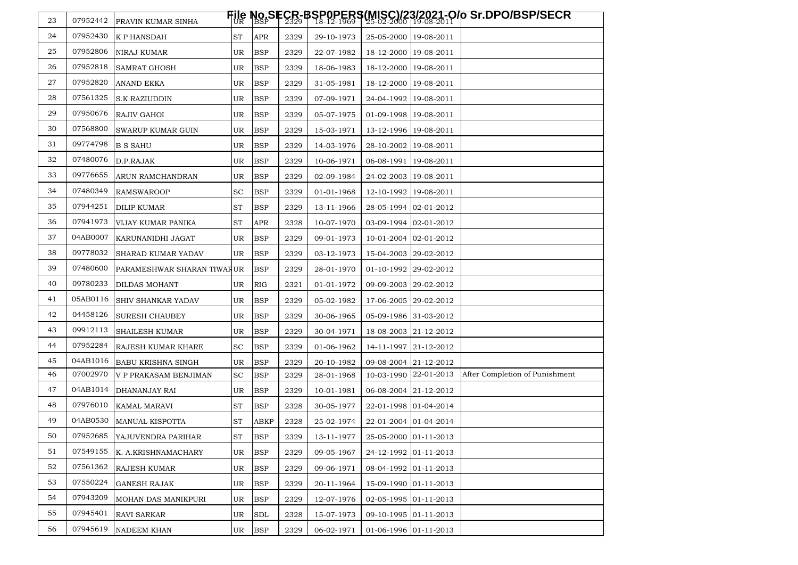| 24<br>07952430<br><b>APR</b><br>ST<br>2329<br>25-05-2000 19-08-2011<br><b>K P HANSDAH</b><br>29-10-1973<br>25<br>07952806<br>UR<br><b>BSP</b><br>NIRAJ KUMAR<br>2329<br>22-07-1982<br>18-12-2000 19-08-2011<br>26<br>07952818<br><b>BSP</b><br><b>SAMRAT GHOSH</b><br>UR<br>2329<br>18-06-1983<br>18-12-2000 19-08-2011<br>07952820<br>27<br>UR<br><b>BSP</b><br>ANAND EKKA<br>2329<br>31-05-1981<br>18-12-2000 19-08-2011<br>28<br>07561325<br><b>BSP</b><br>S.K.RAZIUDDIN<br>UR<br>2329<br>07-09-1971<br>24-04-1992 19-08-2011<br>29<br>07950676<br>UR<br><b>BSP</b><br>RAJIV GAHOI<br>2329<br>05-07-1975<br>01-09-1998 19-08-2011<br>30<br>07568800<br><b>BSP</b><br><b>SWARUP KUMAR GUIN</b><br>UR<br>2329<br>15-03-1971<br>13-12-1996 19-08-2011<br>09774798<br>31<br>UR<br><b>BSP</b><br><b>B S SAHU</b><br>2329<br>14-03-1976<br>28-10-2002 19-08-2011<br>32<br>07480076<br>UR<br><b>BSP</b><br>D.P.RAJAK<br>2329<br>10-06-1971<br>06-08-1991   19-08-2011<br>33<br>09776655<br><b>BSP</b><br>UR<br>2329<br>02-09-1984<br>24-02-2003 19-08-2011<br>ARUN RAMCHANDRAN<br>07480349<br>34<br><b>SC</b><br><b>BSP</b><br><b>RAMSWAROOP</b><br>2329<br>01-01-1968<br>12-10-1992 19-08-2011<br>35<br>07944251<br><b>ST</b><br><b>BSP</b><br>DILIP KUMAR<br>2329<br>13-11-1966<br>28-05-1994 02-01-2012<br>36<br>07941973<br>ST<br>APR<br>2328<br>10-07-1970<br>03-09-1994 02-01-2012<br>VIJAY KUMAR PANIKA<br>37<br>04AB0007<br><b>BSP</b><br>KARUNANIDHI JAGAT<br>UR<br>2329<br>09-01-1973<br>10-01-2004 02-01-2012<br>38<br>09778032<br><b>BSP</b><br>SHARAD KUMAR YADAV<br>UR<br>2329<br>03-12-1973<br>15-04-2003 29-02-2012<br>39<br>07480600<br><b>BSP</b><br>PARAMESHWAR SHARAN TIWARUR<br>2329<br>28-01-1970<br>01-10-1992 29-02-2012<br>40<br>09780233<br><b>RIG</b><br>09-09-2003 29-02-2012<br>DILDAS MOHANT<br>UR<br>2321<br>01-01-1972<br>41<br>05AB0116<br><b>BSP</b><br>UR<br>2329<br>17-06-2005 29-02-2012<br>SHIV SHANKAR YADAV<br>05-02-1982<br>42<br>04458126<br><b>BSP</b><br><b>SURESH CHAUBEY</b><br>UR.<br>2329<br>30-06-1965<br>05-09-1986 31-03-2012<br>09912113<br>43<br>UR<br><b>BSP</b><br>SHAILESH KUMAR<br>2329<br>30-04-1971<br>18-08-2003 21-12-2012<br>44<br>07952284<br>SC<br><b>BSP</b><br>2329<br>01-06-1962<br>14-11-1997 21-12-2012<br>RAJESH KUMAR KHARE<br>04AB1016<br>45<br>UR<br><b>BSP</b><br>09-08-2004 21-12-2012<br><b>BABU KRISHNA SINGH</b><br>2329<br>20-10-1982<br>46<br>07002970<br>10-03-1990 22-01-2013<br>After Completion of Punishment<br><b>SC</b><br><b>BSP</b><br>2329<br>V P PRAKASAM BENJIMAN<br>28-01-1968<br>47<br>04AB1014<br><b>BSP</b><br>DHANANJAY RAI<br>UR<br>2329<br>10-01-1981<br>06-08-2004 21-12-2012<br>48<br>07976010<br>ST<br>KAMAL MARAVI<br><b>BSP</b><br>22-01-1998 01-04-2014<br>2328<br>30-05-1977<br>49<br>04AB0530<br>ST<br>MANUAL KISPOTTA<br>ABKP<br>2328<br>25-02-1974<br>22-01-2004 01-04-2014<br>50<br>07952685 YAJUVENDRA PARIHAR<br>$\operatorname{ST}$<br><b>BSP</b><br>2329<br>25-05-2000 01-11-2013<br>13-11-1977<br>51<br>07549155<br>K. A.KRISHNAMACHARY<br>UR<br><b>BSP</b><br>2329<br>09-05-1967<br>24-12-1992 01-11-2013<br>52<br>07561362<br>UR<br><b>BSP</b><br><b>RAJESH KUMAR</b><br>08-04-1992 01-11-2013<br>2329<br>09-06-1971<br>53<br>07550224<br><b>BSP</b><br><b>GANESH RAJAK</b><br>UR<br>2329<br>20-11-1964<br>15-09-1990 01-11-2013<br>07943209<br>54<br><b>BSP</b><br>MOHAN DAS MANIKPURI<br>UR<br>2329<br>12-07-1976<br>02-05-1995 01-11-2013<br>55<br>07945401<br>UR<br><b>SDL</b><br>15-07-1973<br>09-10-1995 01-11-2013<br>RAVI SARKAR<br>2328<br>56<br>07945619<br><b>NADEEM KHAN</b><br>UR<br><b>BSP</b><br>2329<br>06-02-1971<br>01-06-1996 01-11-2013 | 23 | 07952442 | PRAVIN KUMAR SINHA |  |  |  | <b>File No.SECR-BSP0PERS(MISC)/28/2021-O/p Sr.DPO/BSP/SECR</b><br>UR BSP - 2329 18-12-1969 125-02-2000 19-08-2011 |
|------------------------------------------------------------------------------------------------------------------------------------------------------------------------------------------------------------------------------------------------------------------------------------------------------------------------------------------------------------------------------------------------------------------------------------------------------------------------------------------------------------------------------------------------------------------------------------------------------------------------------------------------------------------------------------------------------------------------------------------------------------------------------------------------------------------------------------------------------------------------------------------------------------------------------------------------------------------------------------------------------------------------------------------------------------------------------------------------------------------------------------------------------------------------------------------------------------------------------------------------------------------------------------------------------------------------------------------------------------------------------------------------------------------------------------------------------------------------------------------------------------------------------------------------------------------------------------------------------------------------------------------------------------------------------------------------------------------------------------------------------------------------------------------------------------------------------------------------------------------------------------------------------------------------------------------------------------------------------------------------------------------------------------------------------------------------------------------------------------------------------------------------------------------------------------------------------------------------------------------------------------------------------------------------------------------------------------------------------------------------------------------------------------------------------------------------------------------------------------------------------------------------------------------------------------------------------------------------------------------------------------------------------------------------------------------------------------------------------------------------------------------------------------------------------------------------------------------------------------------------------------------------------------------------------------------------------------------------------------------------------------------------------------------------------------------------------------------------------------------------------------------------------------------------------------------------------------------------------------------------------------------------------------------------------------------------------------------------------------------------------------------------------------------------------------------------------------------------------------------------------------------------------------------------------------------------------------------------------------------------------------------------------------------------------|----|----------|--------------------|--|--|--|-------------------------------------------------------------------------------------------------------------------|
|                                                                                                                                                                                                                                                                                                                                                                                                                                                                                                                                                                                                                                                                                                                                                                                                                                                                                                                                                                                                                                                                                                                                                                                                                                                                                                                                                                                                                                                                                                                                                                                                                                                                                                                                                                                                                                                                                                                                                                                                                                                                                                                                                                                                                                                                                                                                                                                                                                                                                                                                                                                                                                                                                                                                                                                                                                                                                                                                                                                                                                                                                                                                                                                                                                                                                                                                                                                                                                                                                                                                                                                                                                                                              |    |          |                    |  |  |  |                                                                                                                   |
|                                                                                                                                                                                                                                                                                                                                                                                                                                                                                                                                                                                                                                                                                                                                                                                                                                                                                                                                                                                                                                                                                                                                                                                                                                                                                                                                                                                                                                                                                                                                                                                                                                                                                                                                                                                                                                                                                                                                                                                                                                                                                                                                                                                                                                                                                                                                                                                                                                                                                                                                                                                                                                                                                                                                                                                                                                                                                                                                                                                                                                                                                                                                                                                                                                                                                                                                                                                                                                                                                                                                                                                                                                                                              |    |          |                    |  |  |  |                                                                                                                   |
|                                                                                                                                                                                                                                                                                                                                                                                                                                                                                                                                                                                                                                                                                                                                                                                                                                                                                                                                                                                                                                                                                                                                                                                                                                                                                                                                                                                                                                                                                                                                                                                                                                                                                                                                                                                                                                                                                                                                                                                                                                                                                                                                                                                                                                                                                                                                                                                                                                                                                                                                                                                                                                                                                                                                                                                                                                                                                                                                                                                                                                                                                                                                                                                                                                                                                                                                                                                                                                                                                                                                                                                                                                                                              |    |          |                    |  |  |  |                                                                                                                   |
|                                                                                                                                                                                                                                                                                                                                                                                                                                                                                                                                                                                                                                                                                                                                                                                                                                                                                                                                                                                                                                                                                                                                                                                                                                                                                                                                                                                                                                                                                                                                                                                                                                                                                                                                                                                                                                                                                                                                                                                                                                                                                                                                                                                                                                                                                                                                                                                                                                                                                                                                                                                                                                                                                                                                                                                                                                                                                                                                                                                                                                                                                                                                                                                                                                                                                                                                                                                                                                                                                                                                                                                                                                                                              |    |          |                    |  |  |  |                                                                                                                   |
|                                                                                                                                                                                                                                                                                                                                                                                                                                                                                                                                                                                                                                                                                                                                                                                                                                                                                                                                                                                                                                                                                                                                                                                                                                                                                                                                                                                                                                                                                                                                                                                                                                                                                                                                                                                                                                                                                                                                                                                                                                                                                                                                                                                                                                                                                                                                                                                                                                                                                                                                                                                                                                                                                                                                                                                                                                                                                                                                                                                                                                                                                                                                                                                                                                                                                                                                                                                                                                                                                                                                                                                                                                                                              |    |          |                    |  |  |  |                                                                                                                   |
|                                                                                                                                                                                                                                                                                                                                                                                                                                                                                                                                                                                                                                                                                                                                                                                                                                                                                                                                                                                                                                                                                                                                                                                                                                                                                                                                                                                                                                                                                                                                                                                                                                                                                                                                                                                                                                                                                                                                                                                                                                                                                                                                                                                                                                                                                                                                                                                                                                                                                                                                                                                                                                                                                                                                                                                                                                                                                                                                                                                                                                                                                                                                                                                                                                                                                                                                                                                                                                                                                                                                                                                                                                                                              |    |          |                    |  |  |  |                                                                                                                   |
|                                                                                                                                                                                                                                                                                                                                                                                                                                                                                                                                                                                                                                                                                                                                                                                                                                                                                                                                                                                                                                                                                                                                                                                                                                                                                                                                                                                                                                                                                                                                                                                                                                                                                                                                                                                                                                                                                                                                                                                                                                                                                                                                                                                                                                                                                                                                                                                                                                                                                                                                                                                                                                                                                                                                                                                                                                                                                                                                                                                                                                                                                                                                                                                                                                                                                                                                                                                                                                                                                                                                                                                                                                                                              |    |          |                    |  |  |  |                                                                                                                   |
|                                                                                                                                                                                                                                                                                                                                                                                                                                                                                                                                                                                                                                                                                                                                                                                                                                                                                                                                                                                                                                                                                                                                                                                                                                                                                                                                                                                                                                                                                                                                                                                                                                                                                                                                                                                                                                                                                                                                                                                                                                                                                                                                                                                                                                                                                                                                                                                                                                                                                                                                                                                                                                                                                                                                                                                                                                                                                                                                                                                                                                                                                                                                                                                                                                                                                                                                                                                                                                                                                                                                                                                                                                                                              |    |          |                    |  |  |  |                                                                                                                   |
|                                                                                                                                                                                                                                                                                                                                                                                                                                                                                                                                                                                                                                                                                                                                                                                                                                                                                                                                                                                                                                                                                                                                                                                                                                                                                                                                                                                                                                                                                                                                                                                                                                                                                                                                                                                                                                                                                                                                                                                                                                                                                                                                                                                                                                                                                                                                                                                                                                                                                                                                                                                                                                                                                                                                                                                                                                                                                                                                                                                                                                                                                                                                                                                                                                                                                                                                                                                                                                                                                                                                                                                                                                                                              |    |          |                    |  |  |  |                                                                                                                   |
|                                                                                                                                                                                                                                                                                                                                                                                                                                                                                                                                                                                                                                                                                                                                                                                                                                                                                                                                                                                                                                                                                                                                                                                                                                                                                                                                                                                                                                                                                                                                                                                                                                                                                                                                                                                                                                                                                                                                                                                                                                                                                                                                                                                                                                                                                                                                                                                                                                                                                                                                                                                                                                                                                                                                                                                                                                                                                                                                                                                                                                                                                                                                                                                                                                                                                                                                                                                                                                                                                                                                                                                                                                                                              |    |          |                    |  |  |  |                                                                                                                   |
|                                                                                                                                                                                                                                                                                                                                                                                                                                                                                                                                                                                                                                                                                                                                                                                                                                                                                                                                                                                                                                                                                                                                                                                                                                                                                                                                                                                                                                                                                                                                                                                                                                                                                                                                                                                                                                                                                                                                                                                                                                                                                                                                                                                                                                                                                                                                                                                                                                                                                                                                                                                                                                                                                                                                                                                                                                                                                                                                                                                                                                                                                                                                                                                                                                                                                                                                                                                                                                                                                                                                                                                                                                                                              |    |          |                    |  |  |  |                                                                                                                   |
|                                                                                                                                                                                                                                                                                                                                                                                                                                                                                                                                                                                                                                                                                                                                                                                                                                                                                                                                                                                                                                                                                                                                                                                                                                                                                                                                                                                                                                                                                                                                                                                                                                                                                                                                                                                                                                                                                                                                                                                                                                                                                                                                                                                                                                                                                                                                                                                                                                                                                                                                                                                                                                                                                                                                                                                                                                                                                                                                                                                                                                                                                                                                                                                                                                                                                                                                                                                                                                                                                                                                                                                                                                                                              |    |          |                    |  |  |  |                                                                                                                   |
|                                                                                                                                                                                                                                                                                                                                                                                                                                                                                                                                                                                                                                                                                                                                                                                                                                                                                                                                                                                                                                                                                                                                                                                                                                                                                                                                                                                                                                                                                                                                                                                                                                                                                                                                                                                                                                                                                                                                                                                                                                                                                                                                                                                                                                                                                                                                                                                                                                                                                                                                                                                                                                                                                                                                                                                                                                                                                                                                                                                                                                                                                                                                                                                                                                                                                                                                                                                                                                                                                                                                                                                                                                                                              |    |          |                    |  |  |  |                                                                                                                   |
|                                                                                                                                                                                                                                                                                                                                                                                                                                                                                                                                                                                                                                                                                                                                                                                                                                                                                                                                                                                                                                                                                                                                                                                                                                                                                                                                                                                                                                                                                                                                                                                                                                                                                                                                                                                                                                                                                                                                                                                                                                                                                                                                                                                                                                                                                                                                                                                                                                                                                                                                                                                                                                                                                                                                                                                                                                                                                                                                                                                                                                                                                                                                                                                                                                                                                                                                                                                                                                                                                                                                                                                                                                                                              |    |          |                    |  |  |  |                                                                                                                   |
|                                                                                                                                                                                                                                                                                                                                                                                                                                                                                                                                                                                                                                                                                                                                                                                                                                                                                                                                                                                                                                                                                                                                                                                                                                                                                                                                                                                                                                                                                                                                                                                                                                                                                                                                                                                                                                                                                                                                                                                                                                                                                                                                                                                                                                                                                                                                                                                                                                                                                                                                                                                                                                                                                                                                                                                                                                                                                                                                                                                                                                                                                                                                                                                                                                                                                                                                                                                                                                                                                                                                                                                                                                                                              |    |          |                    |  |  |  |                                                                                                                   |
|                                                                                                                                                                                                                                                                                                                                                                                                                                                                                                                                                                                                                                                                                                                                                                                                                                                                                                                                                                                                                                                                                                                                                                                                                                                                                                                                                                                                                                                                                                                                                                                                                                                                                                                                                                                                                                                                                                                                                                                                                                                                                                                                                                                                                                                                                                                                                                                                                                                                                                                                                                                                                                                                                                                                                                                                                                                                                                                                                                                                                                                                                                                                                                                                                                                                                                                                                                                                                                                                                                                                                                                                                                                                              |    |          |                    |  |  |  |                                                                                                                   |
|                                                                                                                                                                                                                                                                                                                                                                                                                                                                                                                                                                                                                                                                                                                                                                                                                                                                                                                                                                                                                                                                                                                                                                                                                                                                                                                                                                                                                                                                                                                                                                                                                                                                                                                                                                                                                                                                                                                                                                                                                                                                                                                                                                                                                                                                                                                                                                                                                                                                                                                                                                                                                                                                                                                                                                                                                                                                                                                                                                                                                                                                                                                                                                                                                                                                                                                                                                                                                                                                                                                                                                                                                                                                              |    |          |                    |  |  |  |                                                                                                                   |
|                                                                                                                                                                                                                                                                                                                                                                                                                                                                                                                                                                                                                                                                                                                                                                                                                                                                                                                                                                                                                                                                                                                                                                                                                                                                                                                                                                                                                                                                                                                                                                                                                                                                                                                                                                                                                                                                                                                                                                                                                                                                                                                                                                                                                                                                                                                                                                                                                                                                                                                                                                                                                                                                                                                                                                                                                                                                                                                                                                                                                                                                                                                                                                                                                                                                                                                                                                                                                                                                                                                                                                                                                                                                              |    |          |                    |  |  |  |                                                                                                                   |
|                                                                                                                                                                                                                                                                                                                                                                                                                                                                                                                                                                                                                                                                                                                                                                                                                                                                                                                                                                                                                                                                                                                                                                                                                                                                                                                                                                                                                                                                                                                                                                                                                                                                                                                                                                                                                                                                                                                                                                                                                                                                                                                                                                                                                                                                                                                                                                                                                                                                                                                                                                                                                                                                                                                                                                                                                                                                                                                                                                                                                                                                                                                                                                                                                                                                                                                                                                                                                                                                                                                                                                                                                                                                              |    |          |                    |  |  |  |                                                                                                                   |
|                                                                                                                                                                                                                                                                                                                                                                                                                                                                                                                                                                                                                                                                                                                                                                                                                                                                                                                                                                                                                                                                                                                                                                                                                                                                                                                                                                                                                                                                                                                                                                                                                                                                                                                                                                                                                                                                                                                                                                                                                                                                                                                                                                                                                                                                                                                                                                                                                                                                                                                                                                                                                                                                                                                                                                                                                                                                                                                                                                                                                                                                                                                                                                                                                                                                                                                                                                                                                                                                                                                                                                                                                                                                              |    |          |                    |  |  |  |                                                                                                                   |
|                                                                                                                                                                                                                                                                                                                                                                                                                                                                                                                                                                                                                                                                                                                                                                                                                                                                                                                                                                                                                                                                                                                                                                                                                                                                                                                                                                                                                                                                                                                                                                                                                                                                                                                                                                                                                                                                                                                                                                                                                                                                                                                                                                                                                                                                                                                                                                                                                                                                                                                                                                                                                                                                                                                                                                                                                                                                                                                                                                                                                                                                                                                                                                                                                                                                                                                                                                                                                                                                                                                                                                                                                                                                              |    |          |                    |  |  |  |                                                                                                                   |
|                                                                                                                                                                                                                                                                                                                                                                                                                                                                                                                                                                                                                                                                                                                                                                                                                                                                                                                                                                                                                                                                                                                                                                                                                                                                                                                                                                                                                                                                                                                                                                                                                                                                                                                                                                                                                                                                                                                                                                                                                                                                                                                                                                                                                                                                                                                                                                                                                                                                                                                                                                                                                                                                                                                                                                                                                                                                                                                                                                                                                                                                                                                                                                                                                                                                                                                                                                                                                                                                                                                                                                                                                                                                              |    |          |                    |  |  |  |                                                                                                                   |
|                                                                                                                                                                                                                                                                                                                                                                                                                                                                                                                                                                                                                                                                                                                                                                                                                                                                                                                                                                                                                                                                                                                                                                                                                                                                                                                                                                                                                                                                                                                                                                                                                                                                                                                                                                                                                                                                                                                                                                                                                                                                                                                                                                                                                                                                                                                                                                                                                                                                                                                                                                                                                                                                                                                                                                                                                                                                                                                                                                                                                                                                                                                                                                                                                                                                                                                                                                                                                                                                                                                                                                                                                                                                              |    |          |                    |  |  |  |                                                                                                                   |
|                                                                                                                                                                                                                                                                                                                                                                                                                                                                                                                                                                                                                                                                                                                                                                                                                                                                                                                                                                                                                                                                                                                                                                                                                                                                                                                                                                                                                                                                                                                                                                                                                                                                                                                                                                                                                                                                                                                                                                                                                                                                                                                                                                                                                                                                                                                                                                                                                                                                                                                                                                                                                                                                                                                                                                                                                                                                                                                                                                                                                                                                                                                                                                                                                                                                                                                                                                                                                                                                                                                                                                                                                                                                              |    |          |                    |  |  |  |                                                                                                                   |
|                                                                                                                                                                                                                                                                                                                                                                                                                                                                                                                                                                                                                                                                                                                                                                                                                                                                                                                                                                                                                                                                                                                                                                                                                                                                                                                                                                                                                                                                                                                                                                                                                                                                                                                                                                                                                                                                                                                                                                                                                                                                                                                                                                                                                                                                                                                                                                                                                                                                                                                                                                                                                                                                                                                                                                                                                                                                                                                                                                                                                                                                                                                                                                                                                                                                                                                                                                                                                                                                                                                                                                                                                                                                              |    |          |                    |  |  |  |                                                                                                                   |
|                                                                                                                                                                                                                                                                                                                                                                                                                                                                                                                                                                                                                                                                                                                                                                                                                                                                                                                                                                                                                                                                                                                                                                                                                                                                                                                                                                                                                                                                                                                                                                                                                                                                                                                                                                                                                                                                                                                                                                                                                                                                                                                                                                                                                                                                                                                                                                                                                                                                                                                                                                                                                                                                                                                                                                                                                                                                                                                                                                                                                                                                                                                                                                                                                                                                                                                                                                                                                                                                                                                                                                                                                                                                              |    |          |                    |  |  |  |                                                                                                                   |
|                                                                                                                                                                                                                                                                                                                                                                                                                                                                                                                                                                                                                                                                                                                                                                                                                                                                                                                                                                                                                                                                                                                                                                                                                                                                                                                                                                                                                                                                                                                                                                                                                                                                                                                                                                                                                                                                                                                                                                                                                                                                                                                                                                                                                                                                                                                                                                                                                                                                                                                                                                                                                                                                                                                                                                                                                                                                                                                                                                                                                                                                                                                                                                                                                                                                                                                                                                                                                                                                                                                                                                                                                                                                              |    |          |                    |  |  |  |                                                                                                                   |
|                                                                                                                                                                                                                                                                                                                                                                                                                                                                                                                                                                                                                                                                                                                                                                                                                                                                                                                                                                                                                                                                                                                                                                                                                                                                                                                                                                                                                                                                                                                                                                                                                                                                                                                                                                                                                                                                                                                                                                                                                                                                                                                                                                                                                                                                                                                                                                                                                                                                                                                                                                                                                                                                                                                                                                                                                                                                                                                                                                                                                                                                                                                                                                                                                                                                                                                                                                                                                                                                                                                                                                                                                                                                              |    |          |                    |  |  |  |                                                                                                                   |
|                                                                                                                                                                                                                                                                                                                                                                                                                                                                                                                                                                                                                                                                                                                                                                                                                                                                                                                                                                                                                                                                                                                                                                                                                                                                                                                                                                                                                                                                                                                                                                                                                                                                                                                                                                                                                                                                                                                                                                                                                                                                                                                                                                                                                                                                                                                                                                                                                                                                                                                                                                                                                                                                                                                                                                                                                                                                                                                                                                                                                                                                                                                                                                                                                                                                                                                                                                                                                                                                                                                                                                                                                                                                              |    |          |                    |  |  |  |                                                                                                                   |
|                                                                                                                                                                                                                                                                                                                                                                                                                                                                                                                                                                                                                                                                                                                                                                                                                                                                                                                                                                                                                                                                                                                                                                                                                                                                                                                                                                                                                                                                                                                                                                                                                                                                                                                                                                                                                                                                                                                                                                                                                                                                                                                                                                                                                                                                                                                                                                                                                                                                                                                                                                                                                                                                                                                                                                                                                                                                                                                                                                                                                                                                                                                                                                                                                                                                                                                                                                                                                                                                                                                                                                                                                                                                              |    |          |                    |  |  |  |                                                                                                                   |
|                                                                                                                                                                                                                                                                                                                                                                                                                                                                                                                                                                                                                                                                                                                                                                                                                                                                                                                                                                                                                                                                                                                                                                                                                                                                                                                                                                                                                                                                                                                                                                                                                                                                                                                                                                                                                                                                                                                                                                                                                                                                                                                                                                                                                                                                                                                                                                                                                                                                                                                                                                                                                                                                                                                                                                                                                                                                                                                                                                                                                                                                                                                                                                                                                                                                                                                                                                                                                                                                                                                                                                                                                                                                              |    |          |                    |  |  |  |                                                                                                                   |
|                                                                                                                                                                                                                                                                                                                                                                                                                                                                                                                                                                                                                                                                                                                                                                                                                                                                                                                                                                                                                                                                                                                                                                                                                                                                                                                                                                                                                                                                                                                                                                                                                                                                                                                                                                                                                                                                                                                                                                                                                                                                                                                                                                                                                                                                                                                                                                                                                                                                                                                                                                                                                                                                                                                                                                                                                                                                                                                                                                                                                                                                                                                                                                                                                                                                                                                                                                                                                                                                                                                                                                                                                                                                              |    |          |                    |  |  |  |                                                                                                                   |
|                                                                                                                                                                                                                                                                                                                                                                                                                                                                                                                                                                                                                                                                                                                                                                                                                                                                                                                                                                                                                                                                                                                                                                                                                                                                                                                                                                                                                                                                                                                                                                                                                                                                                                                                                                                                                                                                                                                                                                                                                                                                                                                                                                                                                                                                                                                                                                                                                                                                                                                                                                                                                                                                                                                                                                                                                                                                                                                                                                                                                                                                                                                                                                                                                                                                                                                                                                                                                                                                                                                                                                                                                                                                              |    |          |                    |  |  |  |                                                                                                                   |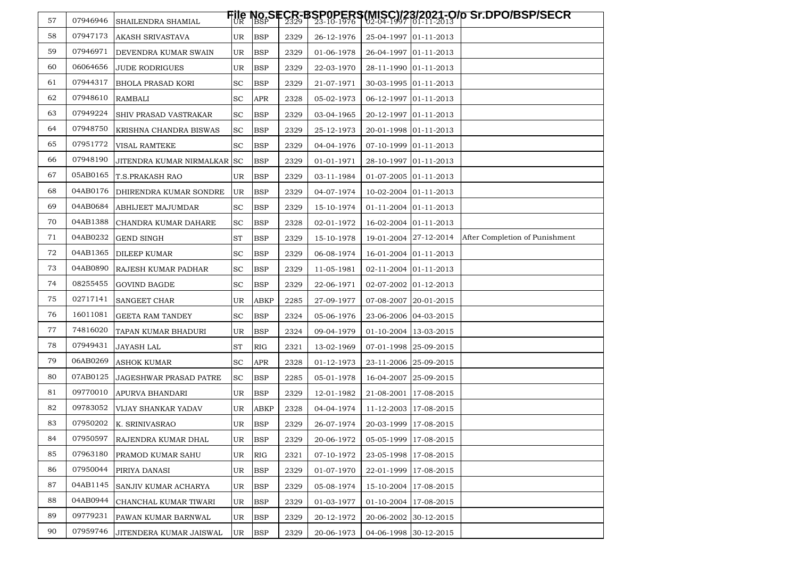| 57 | 07946946 | SHAILENDRA SHAMIAL            |                             |             |      |            |                       |                         | <b>File No.SECR-BSP0PERS(MISC)/28/2021-O/p Sr.DPO/BSP/SECR</b><br>UR BSP = 2329   23-10-1976   02-04-1997  01-11-2013 |
|----|----------|-------------------------------|-----------------------------|-------------|------|------------|-----------------------|-------------------------|-----------------------------------------------------------------------------------------------------------------------|
| 58 | 07947173 | AKASH SRIVASTAVA              | UR                          | <b>BSP</b>  | 2329 | 26-12-1976 | 25-04-1997 01-11-2013 |                         |                                                                                                                       |
| 59 | 07946971 | DEVENDRA KUMAR SWAIN          | UR.                         | <b>BSP</b>  | 2329 | 01-06-1978 |                       | 26-04-1997 01-11-2013   |                                                                                                                       |
| 60 | 06064656 | <b>JUDE RODRIGUES</b>         | UR.                         | <b>BSP</b>  | 2329 | 22-03-1970 | 28-11-1990 01-11-2013 |                         |                                                                                                                       |
| 61 | 07944317 | <b>BHOLA PRASAD KORI</b>      | $\operatorname{sc}$         | <b>BSP</b>  | 2329 | 21-07-1971 |                       | 30-03-1995 01-11-2013   |                                                                                                                       |
| 62 | 07948610 | RAMBALI                       | $\operatorname{sc}$         | APR         | 2328 | 05-02-1973 |                       | 06-12-1997 01-11-2013   |                                                                                                                       |
| 63 | 07949224 | SHIV PRASAD VASTRAKAR         | $\operatorname{sc}$         | <b>BSP</b>  | 2329 | 03-04-1965 |                       | 20-12-1997 01-11-2013   |                                                                                                                       |
| 64 | 07948750 | KRISHNA CHANDRA BISWAS        | <b>SC</b>                   | <b>BSP</b>  | 2329 | 25-12-1973 | 20-01-1998 01-11-2013 |                         |                                                                                                                       |
| 65 | 07951772 | VISAL RAMTEKE                 | <b>SC</b>                   | <b>BSP</b>  | 2329 | 04-04-1976 |                       | 07-10-1999 01-11-2013   |                                                                                                                       |
| 66 | 07948190 | JITENDRA KUMAR NIRMALKAR SC   |                             | <b>BSP</b>  | 2329 | 01-01-1971 |                       | 28-10-1997 01-11-2013   |                                                                                                                       |
| 67 | 05AB0165 | <b>T.S.PRAKASH RAO</b>        | UR.                         | <b>BSP</b>  | 2329 | 03-11-1984 | 01-07-2005 01-11-2013 |                         |                                                                                                                       |
| 68 | 04AB0176 | DHIRENDRA KUMAR SONDRE        | UR.                         | <b>BSP</b>  | 2329 | 04-07-1974 |                       | 10-02-2004 01-11-2013   |                                                                                                                       |
| 69 | 04AB0684 | ABHIJEET MAJUMDAR             | SC                          | <b>BSP</b>  | 2329 | 15-10-1974 |                       | 01-11-2004 01-11-2013   |                                                                                                                       |
| 70 | 04AB1388 | CHANDRA KUMAR DAHARE          | $\protect\operatorname{SC}$ | <b>BSP</b>  | 2328 | 02-01-1972 |                       | 16-02-2004 01-11-2013   |                                                                                                                       |
| 71 | 04AB0232 | <b>GEND SINGH</b>             | ST                          | <b>BSP</b>  | 2329 | 15-10-1978 |                       | 19-01-2004 27-12-2014   | After Completion of Punishment                                                                                        |
| 72 | 04AB1365 | <b>DILEEP KUMAR</b>           | SC                          | <b>BSP</b>  | 2329 | 06-08-1974 |                       | 16-01-2004 01-11-2013   |                                                                                                                       |
| 73 | 04AB0890 | RAJESH KUMAR PADHAR           | $\operatorname{sc}$         | <b>BSP</b>  | 2329 | 11-05-1981 |                       | 02-11-2004 01-11-2013   |                                                                                                                       |
| 74 | 08255455 | <b>GOVIND BAGDE</b>           | $\protect\operatorname{SC}$ | <b>BSP</b>  | 2329 | 22-06-1971 | 02-07-2002 01-12-2013 |                         |                                                                                                                       |
| 75 | 02717141 | SANGEET CHAR                  | UR                          | <b>ABKP</b> | 2285 | 27-09-1977 |                       | 07-08-2007 20-01-2015   |                                                                                                                       |
| 76 | 16011081 | <b>GEETA RAM TANDEY</b>       | SC                          | <b>BSP</b>  | 2324 | 05-06-1976 |                       | 23-06-2006 04-03-2015   |                                                                                                                       |
| 77 | 74816020 | TAPAN KUMAR BHADURI           | UR                          | <b>BSP</b>  | 2324 | 09-04-1979 |                       | 01-10-2004 13-03-2015   |                                                                                                                       |
| 78 | 07949431 | JAYASH LAL                    | ST                          | <b>RIG</b>  | 2321 | 13-02-1969 | 07-01-1998 25-09-2015 |                         |                                                                                                                       |
| 79 | 06AB0269 | <b>ASHOK KUMAR</b>            | <b>SC</b>                   | APR         | 2328 | 01-12-1973 | 23-11-2006 25-09-2015 |                         |                                                                                                                       |
| 80 | 07AB0125 | <b>JAGESHWAR PRASAD PATRE</b> | <b>SC</b>                   | <b>BSP</b>  | 2285 | 05-01-1978 |                       | 16-04-2007 25-09-2015   |                                                                                                                       |
| 81 | 09770010 | APURVA BHANDARI               | UR                          | <b>BSP</b>  | 2329 | 12-01-1982 |                       | 21-08-2001 17-08-2015   |                                                                                                                       |
| 82 | 09783052 | VIJAY SHANKAR YADAV           | UR                          | <b>ABKP</b> | 2328 | 04-04-1974 |                       | 11-12-2003 17-08-2015   |                                                                                                                       |
| 83 | 07950202 | K. SRINIVASRAO                | UR                          | <b>BSP</b>  | 2329 | 26-07-1974 |                       | 20-03-1999   17-08-2015 |                                                                                                                       |
| 84 | 07950597 | RAJENDRA KUMAR DHAL           | UR.                         | <b>BSP</b>  | 2329 | 20-06-1972 | 05-05-1999 17-08-2015 |                         |                                                                                                                       |
| 85 | 07963180 | PRAMOD KUMAR SAHU             | UR                          | RIG         | 2321 | 07-10-1972 |                       | 23-05-1998 17-08-2015   |                                                                                                                       |
| 86 | 07950044 | PIRIYA DANASI                 | UR                          | <b>BSP</b>  | 2329 | 01-07-1970 |                       | 22-01-1999 17-08-2015   |                                                                                                                       |
| 87 | 04AB1145 | SANJIV KUMAR ACHARYA          | UR                          | <b>BSP</b>  | 2329 | 05-08-1974 |                       | 15-10-2004   17-08-2015 |                                                                                                                       |
| 88 | 04AB0944 | CHANCHAL KUMAR TIWARI         | UR                          | <b>BSP</b>  | 2329 | 01-03-1977 |                       | 01-10-2004 17-08-2015   |                                                                                                                       |
| 89 | 09779231 | PAWAN KUMAR BARNWAL           | UR                          | <b>BSP</b>  | 2329 | 20-12-1972 |                       | 20-06-2002 30-12-2015   |                                                                                                                       |
| 90 | 07959746 | JITENDERA KUMAR JAISWAL       | UR                          | <b>BSP</b>  | 2329 | 20-06-1973 |                       | 04-06-1998 30-12-2015   |                                                                                                                       |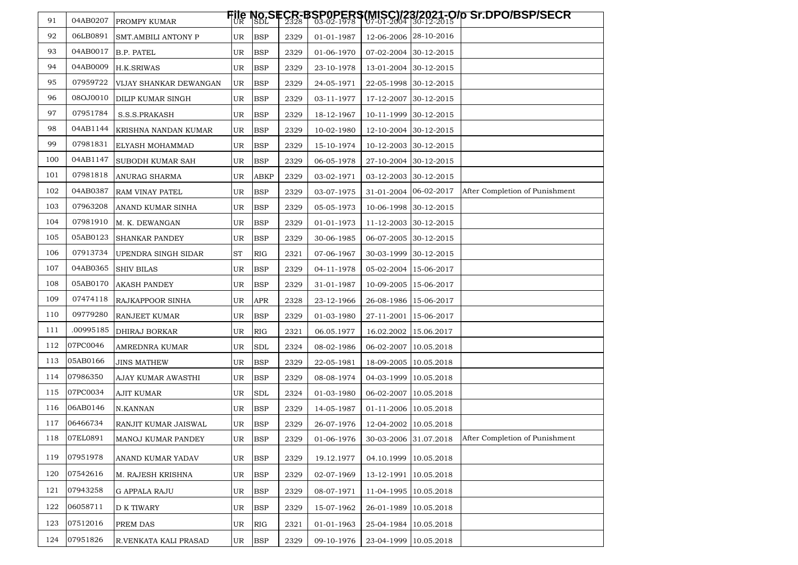| 91  | 04AB0207  | PROMPY KUMAR           |            |               |      |            |                       |                       | <b>File No.SECR-BSP0PERS(MISC)/28/2021-O/p Sr.DPO/BSP/SECR</b><br>UR SDLS 2328   03-02-1978   07-01-2004  30-12-2015   <b>D</b> |
|-----|-----------|------------------------|------------|---------------|------|------------|-----------------------|-----------------------|---------------------------------------------------------------------------------------------------------------------------------|
| 92  | 06LB0891  | SMT.AMBILI ANTONY P    | UR         | <b>BSP</b>    | 2329 | 01-01-1987 |                       | 12-06-2006 28-10-2016 |                                                                                                                                 |
| 93  | 04AB0017  | B.P. PATEL             | UR         | <b>BSP</b>    | 2329 | 01-06-1970 |                       | 07-02-2004 30-12-2015 |                                                                                                                                 |
| 94  | 04AB0009  | H.K.SRIWAS             | UR         | <b>BSP</b>    | 2329 | 23-10-1978 |                       | 13-01-2004 30-12-2015 |                                                                                                                                 |
| 95  | 07959722  | VIJAY SHANKAR DEWANGAN | UR         | <b>BSP</b>    | 2329 | 24-05-1971 |                       | 22-05-1998 30-12-2015 |                                                                                                                                 |
| 96  | 08OJ0010  | DILIP KUMAR SINGH      | UR.        | <b>BSP</b>    | 2329 | 03-11-1977 |                       | 17-12-2007 30-12-2015 |                                                                                                                                 |
| 97  | 07951784  | S.S.S.PRAKASH          | UR         | <b>BSP</b>    | 2329 | 18-12-1967 |                       | 10-11-1999 30-12-2015 |                                                                                                                                 |
| 98  | 04AB1144  | KRISHNA NANDAN KUMAR   | UR         | <b>BSP</b>    | 2329 | 10-02-1980 |                       | 12-10-2004 30-12-2015 |                                                                                                                                 |
| 99  | 07981831  | ELYASH MOHAMMAD        | UR         | <b>BSP</b>    | 2329 | 15-10-1974 | 10-12-2003 30-12-2015 |                       |                                                                                                                                 |
| 100 | 04AB1147  | SUBODH KUMAR SAH       | UR         | <b>BSP</b>    | 2329 | 06-05-1978 |                       | 27-10-2004 30-12-2015 |                                                                                                                                 |
| 101 | 07981818  | ANURAG SHARMA          | UR         | <b>ABKP</b>   | 2329 | 03-02-1971 |                       | 03-12-2003 30-12-2015 |                                                                                                                                 |
| 102 | 04AB0387  | RAM VINAY PATEL        | UR         | <b>BSP</b>    | 2329 | 03-07-1975 | 31-01-2004 06-02-2017 |                       | After Completion of Punishment                                                                                                  |
| 103 | 07963208  | ANAND KUMAR SINHA      | UR         | <b>BSP</b>    | 2329 | 05-05-1973 |                       | 10-06-1998 30-12-2015 |                                                                                                                                 |
| 104 | 07981910  | M. K. DEWANGAN         | UR         | <b>BSP</b>    | 2329 | 01-01-1973 |                       | 11-12-2003 30-12-2015 |                                                                                                                                 |
| 105 | 05AB0123  | <b>SHANKAR PANDEY</b>  | UR         | <b>BSP</b>    | 2329 | 30-06-1985 | 06-07-2005 30-12-2015 |                       |                                                                                                                                 |
| 106 | 07913734  | UPENDRA SINGH SIDAR    | ${\rm ST}$ | RIG           | 2321 | 07-06-1967 |                       | 30-03-1999 30-12-2015 |                                                                                                                                 |
| 107 | 04AB0365  | <b>SHIV BILAS</b>      | UR         | <b>BSP</b>    | 2329 | 04-11-1978 |                       | 05-02-2004 15-06-2017 |                                                                                                                                 |
| 108 | 05AB0170  | <b>AKASH PANDEY</b>    | UR         | <b>BSP</b>    | 2329 | 31-01-1987 |                       | 10-09-2005 15-06-2017 |                                                                                                                                 |
| 109 | 07474118  | RAJKAPPOOR SINHA       | UR         | <b>APR</b>    | 2328 | 23-12-1966 | 26-08-1986 15-06-2017 |                       |                                                                                                                                 |
| 110 | 09779280  | RANJEET KUMAR          | UR         | <b>BSP</b>    | 2329 | 01-03-1980 | 27-11-2001 15-06-2017 |                       |                                                                                                                                 |
| 111 | .00995185 | DHIRAJ BORKAR          | UR         | RIG           | 2321 | 06.05.1977 | 16.02.2002 15.06.2017 |                       |                                                                                                                                 |
| 112 | 07PC0046  | AMREDNRA KUMAR         | UR         | <b>SDL</b>    | 2324 | 08-02-1986 | 06-02-2007 10.05.2018 |                       |                                                                                                                                 |
| 113 | 05AB0166  | JINS MATHEW            | UR         | <b>BSP</b>    | 2329 | 22-05-1981 | 18-09-2005 10.05.2018 |                       |                                                                                                                                 |
| 114 | 07986350  | AJAY KUMAR AWASTHI     | UR.        | <b>BSP</b>    | 2329 | 08-08-1974 | 04-03-1999 10.05.2018 |                       |                                                                                                                                 |
| 115 | 07PC0034  | AJIT KUMAR             | UR         | <b>SDL</b>    | 2324 | 01-03-1980 | 06-02-2007 10.05.2018 |                       |                                                                                                                                 |
| 116 | 06AB0146  | N.KANNAN               | UR         | <b>BSP</b>    | 2329 | 14-05-1987 | 01-11-2006 10.05.2018 |                       |                                                                                                                                 |
| 117 | 06466734  | RANJIT KUMAR JAISWAL   | UR         | <b>BSP</b>    | 2329 | 26-07-1976 | 12-04-2002 10.05.2018 |                       |                                                                                                                                 |
| 118 | 07EL0891  | MANOJ KUMAR PANDEY     | UR         | <b>BSP</b>    | 2329 | 01-06-1976 | 30-03-2006 31.07.2018 |                       | After Completion of Punishment                                                                                                  |
| 119 | 07951978  | ANAND KUMAR YADAV      | UR         | <b>BSP</b>    | 2329 | 19.12.1977 | 04.10.1999 10.05.2018 |                       |                                                                                                                                 |
| 120 | 07542616  | M. RAJESH KRISHNA      | UR         | <b>BSP</b>    | 2329 | 02-07-1969 | 13-12-1991 10.05.2018 |                       |                                                                                                                                 |
| 121 | 07943258  | G APPALA RAJU          | UR         | <b>BSP</b>    | 2329 | 08-07-1971 | 11-04-1995 10.05.2018 |                       |                                                                                                                                 |
| 122 | 06058711  | <b>D K TIWARY</b>      | UR         | <b>BSP</b>    | 2329 | 15-07-1962 | 26-01-1989 10.05.2018 |                       |                                                                                                                                 |
| 123 | 07512016  | PREM DAS               | UR         | <b>RIG</b>    | 2321 | 01-01-1963 | 25-04-1984 10.05.2018 |                       |                                                                                                                                 |
| 124 | 07951826  | R.VENKATA KALI PRASAD  | UR         | $_{\rm{BSP}}$ | 2329 | 09-10-1976 | 23-04-1999 10.05.2018 |                       |                                                                                                                                 |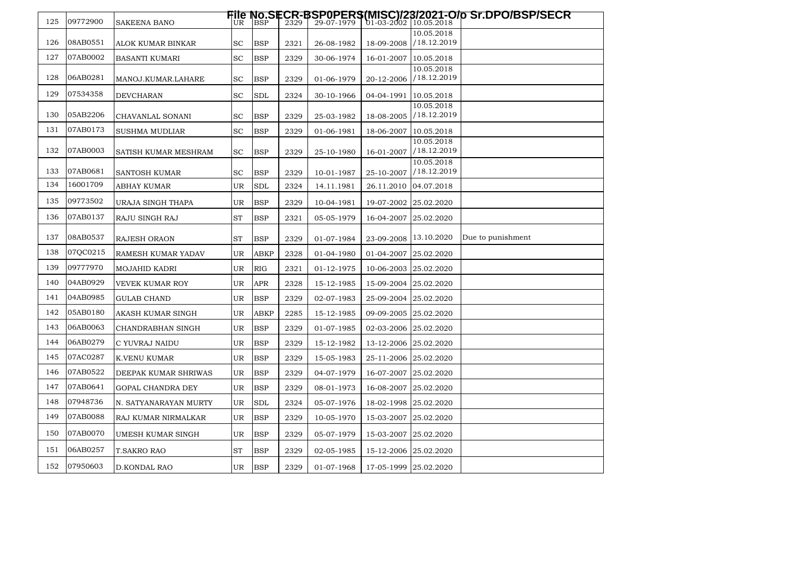| 125 | 09772900 | <b>SAKEENA BANO</b>   |           |             |      |            |                         |                           | <b>File No.SECR-BSP0PERS(MISC)/28/2021-O/p Sr.DPO/BSP/SECR</b><br>UR BSP   2329   29-07-1979   01-03-2002  10.05.2018 |
|-----|----------|-----------------------|-----------|-------------|------|------------|-------------------------|---------------------------|-----------------------------------------------------------------------------------------------------------------------|
|     |          |                       |           |             |      |            |                         | 10.05.2018                |                                                                                                                       |
| 126 | 08AB0551 | ALOK KUMAR BINKAR     | <b>SC</b> | <b>BSP</b>  | 2321 | 26-08-1982 | 18-09-2008              | /18.12.2019               |                                                                                                                       |
| 127 | 07AB0002 | BASANTI KUMARI        | SC        | <b>BSP</b>  | 2329 | 30-06-1974 | 16-01-2007              | 10.05.2018                |                                                                                                                       |
| 128 | 06AB0281 | MANOJ.KUMAR.LAHARE    | SC        | <b>BSP</b>  | 2329 | 01-06-1979 | 20-12-2006              | 10.05.2018<br>/18.12.2019 |                                                                                                                       |
| 129 | 07534358 | DEVCHARAN             | SC        | <b>SDL</b>  | 2324 | 30-10-1966 | 04-04-1991 10.05.2018   |                           |                                                                                                                       |
| 130 | 05AB2206 | CHAVANLAL SONANI      | SC        | <b>BSP</b>  | 2329 | 25-03-1982 | 18-08-2005              | 10.05.2018<br>/18.12.2019 |                                                                                                                       |
| 131 | 07AB0173 | <b>SUSHMA MUDLIAR</b> | SC        | <b>BSP</b>  | 2329 | 01-06-1981 | 18-06-2007 10.05.2018   |                           |                                                                                                                       |
| 132 | 07AB0003 | SATISH KUMAR MESHRAM  | SC        | <b>BSP</b>  | 2329 | 25-10-1980 | 16-01-2007              | 10.05.2018<br>/18.12.2019 |                                                                                                                       |
| 133 | 07AB0681 | SANTOSH KUMAR         | SC        | <b>BSP</b>  | 2329 | 10-01-1987 | 25-10-2007              | 10.05.2018<br>/18.12.2019 |                                                                                                                       |
| 134 | 16001709 | ABHAY KUMAR           | UR        | <b>SDL</b>  | 2324 | 14.11.1981 |                         | 26.11.2010 04.07.2018     |                                                                                                                       |
| 135 | 09773502 | URAJA SINGH THAPA     | UR        | <b>BSP</b>  | 2329 | 10-04-1981 | 19-07-2002 25.02.2020   |                           |                                                                                                                       |
| 136 | 07AB0137 | RAJU SINGH RAJ        | ST        | <b>BSP</b>  | 2321 | 05-05-1979 | 16-04-2007 25.02.2020   |                           |                                                                                                                       |
| 137 | 08AB0537 | <b>RAJESH ORAON</b>   | ST        | <b>BSP</b>  | 2329 | 01-07-1984 | 23-09-2008 13.10.2020   |                           | Due to punishment                                                                                                     |
| 138 | 07QC0215 | RAMESH KUMAR YADAV    | UR        | <b>ABKP</b> | 2328 | 01-04-1980 | 01-04-2007 25.02.2020   |                           |                                                                                                                       |
| 139 | 09777970 | <b>MOJAHID KADRI</b>  | UR        | RIG         | 2321 | 01-12-1975 | 10-06-2003 25.02.2020   |                           |                                                                                                                       |
| 140 | 04AB0929 | VEVEK KUMAR ROY       | UR        | <b>APR</b>  | 2328 | 15-12-1985 | 15-09-2004 25.02.2020   |                           |                                                                                                                       |
| 141 | 04AB0985 | <b>GULAB CHAND</b>    | UR        | <b>BSP</b>  | 2329 | 02-07-1983 | 25-09-2004 25.02.2020   |                           |                                                                                                                       |
| 142 | 05AB0180 | AKASH KUMAR SINGH     | UR        | <b>ABKP</b> | 2285 | 15-12-1985 | 09-09-2005 25.02.2020   |                           |                                                                                                                       |
| 143 | 06AB0063 | CHANDRABHAN SINGH     | UR        | <b>BSP</b>  | 2329 | 01-07-1985 | 02-03-2006  25.02.2020  |                           |                                                                                                                       |
| 144 | 06AB0279 | C YUVRAJ NAIDU        | UR        | <b>BSP</b>  | 2329 | 15-12-1982 | 13-12-2006 25.02.2020   |                           |                                                                                                                       |
| 145 | 07AC0287 | K.VENU KUMAR          | UR        | <b>BSP</b>  | 2329 | 15-05-1983 | 25-11-2006 25.02.2020   |                           |                                                                                                                       |
| 146 | 07AB0522 | DEEPAK KUMAR SHRIWAS  | UR        | <b>BSP</b>  | 2329 | 04-07-1979 | 16-07-2007 25.02.2020   |                           |                                                                                                                       |
| 147 | 07AB0641 | GOPAL CHANDRA DEY     | UR        | <b>BSP</b>  | 2329 | 08-01-1973 | 16-08-2007 25.02.2020   |                           |                                                                                                                       |
| 148 | 07948736 | N. SATYANARAYAN MURTY | UR        | <b>SDL</b>  | 2324 | 05-07-1976 | 18-02-1998 25.02.2020   |                           |                                                                                                                       |
| 149 | 07AB0088 | RAJ KUMAR NIRMALKAR   | UR        | <b>BSP</b>  | 2329 | 10-05-1970 | 15-03-2007 25.02.2020   |                           |                                                                                                                       |
| 150 | 07AB0070 | UMESH KUMAR SINGH     | UR        | <b>BSP</b>  | 2329 | 05-07-1979 | 15-03-2007   25.02.2020 |                           |                                                                                                                       |
| 151 | 06AB0257 | <b>T.SAKRO RAO</b>    | ST        | <b>BSP</b>  | 2329 | 02-05-1985 | 15-12-2006 25.02.2020   |                           |                                                                                                                       |
| 152 | 07950603 | D.KONDAL RAO          | UR        | <b>BSP</b>  | 2329 | 01-07-1968 | 17-05-1999 25.02.2020   |                           |                                                                                                                       |